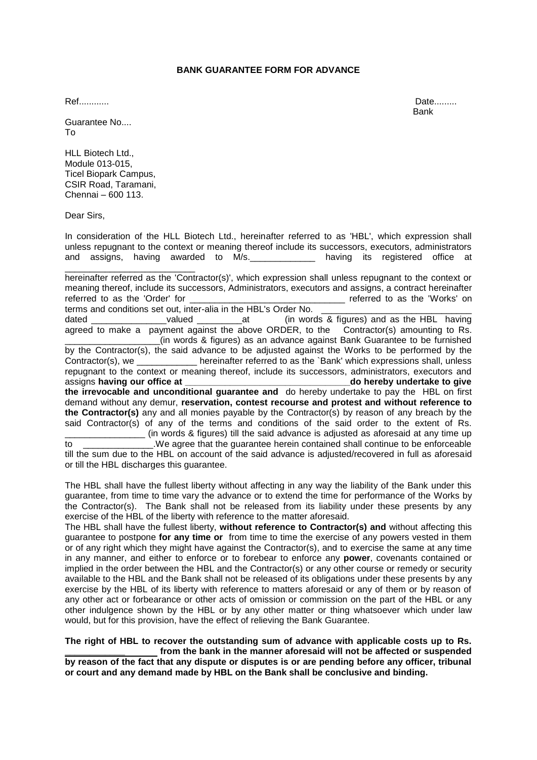## **BANK GUARANTEE FORM FOR ADVANCE**

Guarantee No.... To

HLL Biotech Ltd., Module 013-015, Ticel Biopark Campus, CSIR Road, Taramani, Chennai – 600 113.

Dear Sirs,

In consideration of the HLL Biotech Ltd., hereinafter referred to as 'HBL', which expression shall unless repugnant to the context or meaning thereof include its successors, executors, administrators and assigns, having awarded to M/s. \_\_\_\_\_\_\_\_\_\_\_ having its registered office at

\_\_\_\_\_\_\_\_\_\_\_\_\_\_\_\_\_\_\_\_\_\_\_\_\_\_ hereinafter referred as the 'Contractor(s)', which expression shall unless repugnant to the context or meaning thereof, include its successors, Administrators, executors and assigns, a contract hereinafter referred to as the 'Order' for example and the settlement of the 'Works' on terms and conditions set out, inter-alia in the HBL's Order No.

dated **dated a** valued at (in words & figures) and as the HBL having agreed to make a payment against the above ORDER, to the Contractor(s) amounting to Rs. \_\_\_\_\_\_\_\_\_\_\_\_\_\_\_\_\_\_\_(in words & figures) as an advance against Bank Guarantee to be furnished by the Contractor(s), the said advance to be adjusted against the Works to be performed by the Contractor(s), we hereinafter referred to as the `Bank' which expressions shall, unless hereinafter referred to as the `Bank' which expressions shall, unless repugnant to the context or meaning thereof, include its successors, administrators, executors and assigns **having our office at the set of the set of the set of the set of the set of the set of the set of the s the irrevocable and unconditional guarantee and** do hereby undertake to pay the HBL on first demand without any demur, **reservation, contest recourse and protest and without reference to the Contractor(s)** any and all monies payable by the Contractor(s) by reason of any breach by the said Contractor(s) of any of the terms and conditions of the said order to the extent of Rs.

\_\_\_\_\_\_\_\_\_\_\_\_\_\_\_\_ (in words & figures) till the said advance is adjusted as aforesaid at any time up to **Example 10**. We agree that the guarantee herein contained shall continue to be enforceable till the sum due to the HBL on account of the said advance is adjusted/recovered in full as aforesaid or till the HBL discharges this guarantee.

The HBL shall have the fullest liberty without affecting in any way the liability of the Bank under this guarantee, from time to time vary the advance or to extend the time for performance of the Works by the Contractor(s). The Bank shall not be released from its liability under these presents by any exercise of the HBL of the liberty with reference to the matter aforesaid.

The HBL shall have the fullest liberty, **without reference to Contractor(s) and** without affecting this guarantee to postpone **for any time or** from time to time the exercise of any powers vested in them or of any right which they might have against the Contractor(s), and to exercise the same at any time in any manner, and either to enforce or to forebear to enforce any **power**, covenants contained or implied in the order between the HBL and the Contractor(s) or any other course or remedy or security available to the HBL and the Bank shall not be released of its obligations under these presents by any exercise by the HBL of its liberty with reference to matters aforesaid or any of them or by reason of any other act or forbearance or other acts of omission or commission on the part of the HBL or any other indulgence shown by the HBL or by any other matter or thing whatsoever which under law would, but for this provision, have the effect of relieving the Bank Guarantee.

**The right of HBL to recover the outstanding sum of advance with applicable costs up to Rs. \_\_\_\_\_\_\_\_\_\_\_\_ from the bank in the manner aforesaid will not be affected or suspended by reason of the fact that any dispute or disputes is or are pending before any officer, tribunal or court and any demand made by HBL on the Bank shall be conclusive and binding.**

Ref............ Date......... and the control of the control of the control of the control of the control of the control of the control of the control of the control of the control of the control of the control of the control of the control of the cont